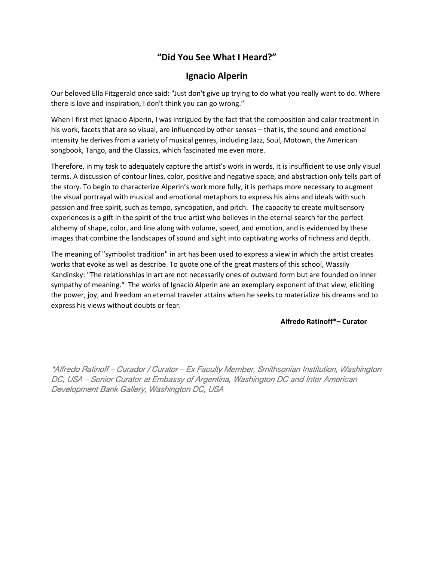## **"Did You See What I Heard?"**

## **Ignacio Alperin**

Our beloved Ella Fitzgerald once said: "Just don't give up trying to do what you really want to do. Where there is love and inspiration, I don't think you can go wrong."

When I first met Ignacio Alperin, I was intrigued by the fact that the composition and color treatment in his work, facets that are so visual, are influenced by other senses – that is, the sound and emotional intensity he derives from a variety of musical genres, including Jazz, Soul, Motown, the American songbook, Tango, and the Classics, which fascinated me even more.

Therefore, in my task to adequately capture the artist's work in words, it is insufficient to use only visual terms. A discussion of contour lines, color, positive and negative space, and abstraction only tells part of the story. To begin to characterize Alperin's work more fully, it is perhaps more necessary to augment the visual portrayal with musical and emotional metaphors to express his aims and ideals with such passion and free spirit, such as tempo, syncopation, and pitch. The capacity to create multisensory experiences is a gift in the spirit of the true artist who believes in the eternal search for the perfect alchemy of shape, color, and line along with volume, speed, and emotion, and is evidenced by these images that combine the landscapes of sound and sight into captivating works of richness and depth.

The meaning of "symbolist tradition" in art has been used to express a view in which the artist creates works that evoke as well as describe. To quote one of the great masters of this school, Wassily Kandinsky: "The relationships in art are not necessarily ones of outward form but are founded on inner sympathy of meaning." The works of Ignacio Alperin are an exemplary exponent of that view, eliciting the power, joy, and freedom an eternal traveler attains when he seeks to materialize his dreams and to express his views without doubts or fear.

## **Alfredo Ratinoff\*– Curator**

\*Alfredo Ratinoff – Curador / Curator – Ex Faculty Member, Smithsonian Institution, Washington DC, USA – Senior Curator at Embassy of Argentina, Washington DC and Inter American Development Bank Gallery, Washington DC, USA